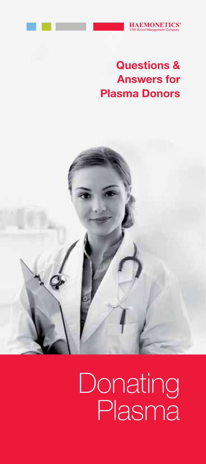

# Questions & Answers for Plasma Donors



# Donating Plasma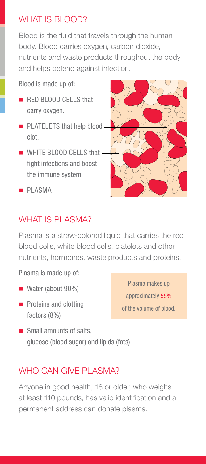#### WHAT IS BLOOD?

Blood is the fluid that travels through the human body. Blood carries oxygen, carbon dioxide, nutrients and waste products throughout the body and helps defend against infection.

Blood is made up of:

- RED BLOOD CELLS that carry oxygen.
- **PLATELETS that help blood** clot.
- **WHITE BLOOD CELLS that** fight infections and boost the immune system.



 $\blacksquare$  PLASMA  $\blacksquare$ 

#### WHAT IS PLASMA?

Plasma is a straw-colored liquid that carries the red blood cells, white blood cells, platelets and other nutrients, hormones, waste products and proteins.

Plasma is made up of:

- Water (about 90%)
- **Proteins and clotting** factors (8%)

Plasma makes up approximately 55% of the volume of blood.

■ Small amounts of salts, glucose (blood sugar) and lipids (fats)

#### WHO CAN GIVE PLASMA?

Anyone in good health, 18 or older, who weighs at least 110 pounds, has valid identification and a permanent address can donate plasma.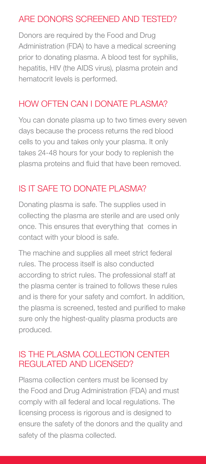# ARE DONORS SCREENED AND TESTED?

Donors are required by the Food and Drug Administration (FDA) to have a medical screening prior to donating plasma. A blood test for syphilis, hepatitis, HIV (the AIDS virus), plasma protein and hematocrit levels is performed.

# HOW OFTEN CAN I DONATE PLASMA?

You can donate plasma up to two times every seven days because the process returns the red blood cells to you and takes only your plasma. It only takes 24-48 hours for your body to replenish the plasma proteins and fluid that have been removed.

# IS IT SAFE TO DONATE PLASMA?

Donating plasma is safe. The supplies used in collecting the plasma are sterile and are used only once. This ensures that everything that comes in contact with your blood is safe.

The machine and supplies all meet strict federal rules. The process itself is also conducted according to strict rules. The professional staff at the plasma center is trained to follows these rules and is there for your safety and comfort. In addition, the plasma is screened, tested and purified to make sure only the highest-quality plasma products are produced.

#### IS THE PLASMA COLLECTION CENTER REGULATED AND LICENSED?

Plasma collection centers must be licensed by the Food and Drug Administration (FDA) and must comply with all federal and local regulations. The licensing process is rigorous and is designed to ensure the safety of the donors and the quality and safety of the plasma collected.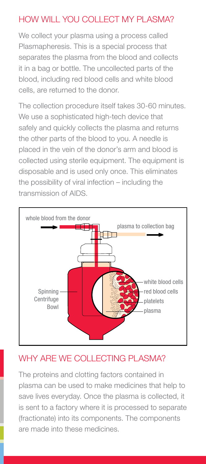# HOW WILL YOU COLLECT MY PLASMA?

We collect your plasma using a process called Plasmapheresis. This is a special process that separates the plasma from the blood and collects it in a bag or bottle. The uncollected parts of the blood, including red blood cells and white blood cells, are returned to the donor.

The collection procedure itself takes 30-60 minutes. We use a sophisticated high-tech device that safely and quickly collects the plasma and returns the other parts of the blood to you. A needle is placed in the vein of the donor's arm and blood is collected using sterile equipment. The equipment is disposable and is used only once. This eliminates the possibility of viral infection – including the transmission of AIDS.



# WHY ARE WE COLLECTING PLASMA?

The proteins and clotting factors contained in plasma can be used to make medicines that help to save lives everyday. Once the plasma is collected, it is sent to a factory where it is processed to separate (fractionate) into its components. The components are made into these medicines.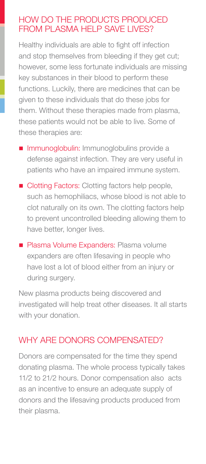#### HOW DO THE PRODUCTS PRODUCED FROM PLASMA HELP SAVE LIVES?

Healthy individuals are able to fight off infection and stop themselves from bleeding if they get cut; however, some less fortunate individuals are missing key substances in their blood to perform these functions. Luckily, there are medicines that can be given to these individuals that do these jobs for them. Without these therapies made from plasma, these patients would not be able to live. Some of these therapies are:

- **Immunoglobulin:** Immunoglobulins provide a defense against infection. They are very useful in patients who have an impaired immune system.
- Clotting Factors: Clotting factors help people, such as hemophiliacs, whose blood is not able to clot naturally on its own. The clotting factors help to prevent uncontrolled bleeding allowing them to have better, longer lives.
- **Plasma Volume Expanders: Plasma volume** expanders are often lifesaving in people who have lost a lot of blood either from an injury or during surgery.

New plasma products being discovered and investigated will help treat other diseases. It all starts with your donation.

#### WHY ARE DONORS COMPENSATED?

Donors are compensated for the time they spend donating plasma. The whole process typically takes 11/2 to 21/2 hours. Donor compensation also acts as an incentive to ensure an adequate supply of donors and the lifesaving products produced from their plasma.